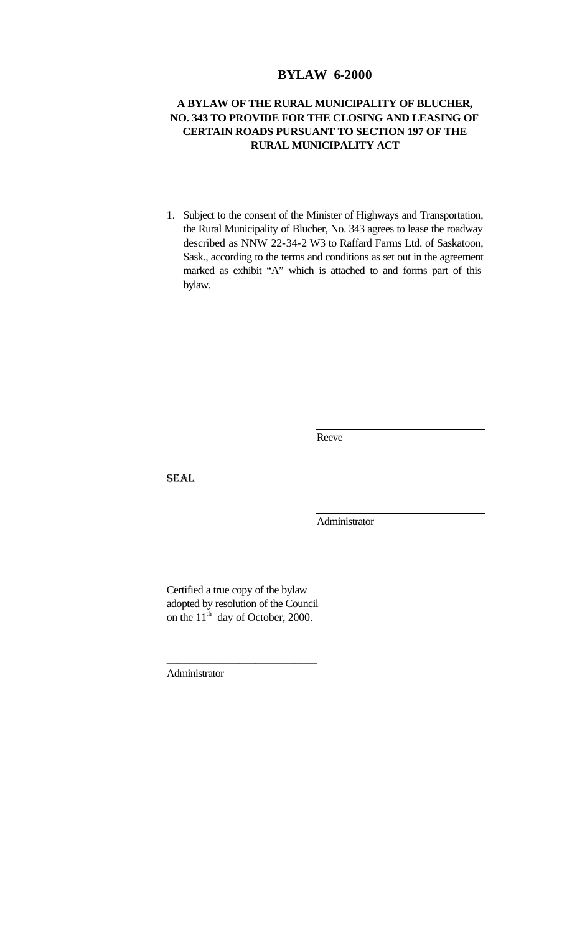# **BYLAW 6-2000**

# **A BYLAW OF THE RURAL MUNICIPALITY OF BLUCHER, NO. 343 TO PROVIDE FOR THE CLOSING AND LEASING OF CERTAIN ROADS PURSUANT TO SECTION 197 OF THE RURAL MUNICIPALITY ACT**

1. Subject to the consent of the Minister of Highways and Transportation, the Rural Municipality of Blucher, No. 343 agrees to lease the roadway described as NNW 22-34-2 W3 to Raffard Farms Ltd. of Saskatoon, Sask., according to the terms and conditions as set out in the agreement marked as exhibit "A" which is attached to and forms part of this bylaw.

Reeve

SEAL

Administrator

Certified a true copy of the bylaw adopted by resolution of the Council on the  $11<sup>th</sup>$  day of October, 2000.

\_\_\_\_\_\_\_\_\_\_\_\_\_\_\_\_\_\_\_\_\_\_\_\_\_\_\_

Administrator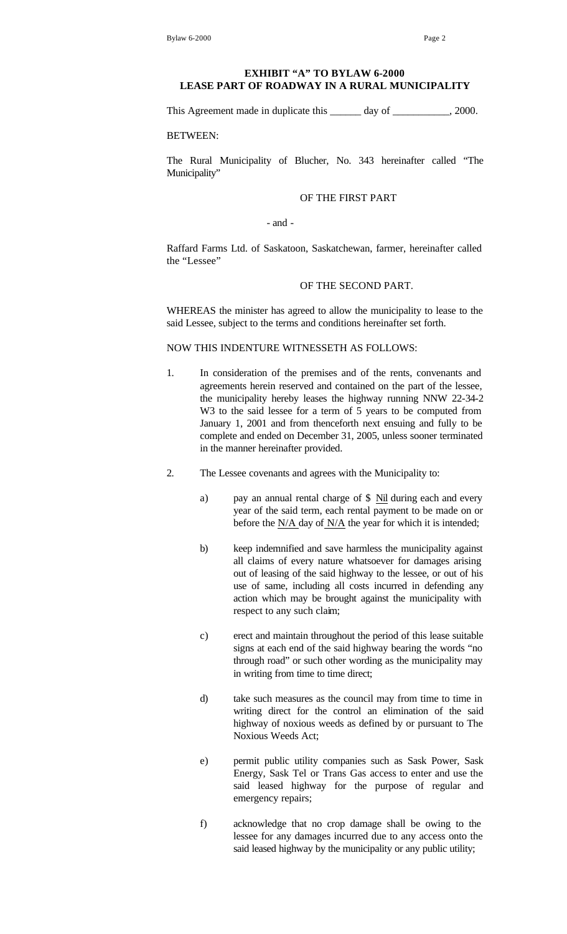### **EXHIBIT "A" TO BYLAW 6-2000 LEASE PART OF ROADWAY IN A RURAL MUNICIPALITY**

This Agreement made in duplicate this \_\_\_\_\_\_ day of \_\_\_\_\_\_\_\_\_, 2000.

BETWEEN:

The Rural Municipality of Blucher, No. 343 hereinafter called "The Municipality"

### OF THE FIRST PART

- and -

Raffard Farms Ltd. of Saskatoon, Saskatchewan, farmer, hereinafter called the "Lessee"

## OF THE SECOND PART.

WHEREAS the minister has agreed to allow the municipality to lease to the said Lessee, subject to the terms and conditions hereinafter set forth.

#### NOW THIS INDENTURE WITNESSETH AS FOLLOWS:

- 1. In consideration of the premises and of the rents, convenants and agreements herein reserved and contained on the part of the lessee, the municipality hereby leases the highway running NNW 22-34-2 W3 to the said lessee for a term of 5 years to be computed from January 1, 2001 and from thenceforth next ensuing and fully to be complete and ended on December 31, 2005, unless sooner terminated in the manner hereinafter provided.
- 2. The Lessee covenants and agrees with the Municipality to:
	- a) pay an annual rental charge of \$ Nil during each and every year of the said term, each rental payment to be made on or before the N/A day of N/A the year for which it is intended;
	- b) keep indemnified and save harmless the municipality against all claims of every nature whatsoever for damages arising out of leasing of the said highway to the lessee, or out of his use of same, including all costs incurred in defending any action which may be brought against the municipality with respect to any such claim;
	- c) erect and maintain throughout the period of this lease suitable signs at each end of the said highway bearing the words "no through road" or such other wording as the municipality may in writing from time to time direct;
	- d) take such measures as the council may from time to time in writing direct for the control an elimination of the said highway of noxious weeds as defined by or pursuant to The Noxious Weeds Act;
	- e) permit public utility companies such as Sask Power, Sask Energy, Sask Tel or Trans Gas access to enter and use the said leased highway for the purpose of regular and emergency repairs;
	- f) acknowledge that no crop damage shall be owing to the lessee for any damages incurred due to any access onto the said leased highway by the municipality or any public utility;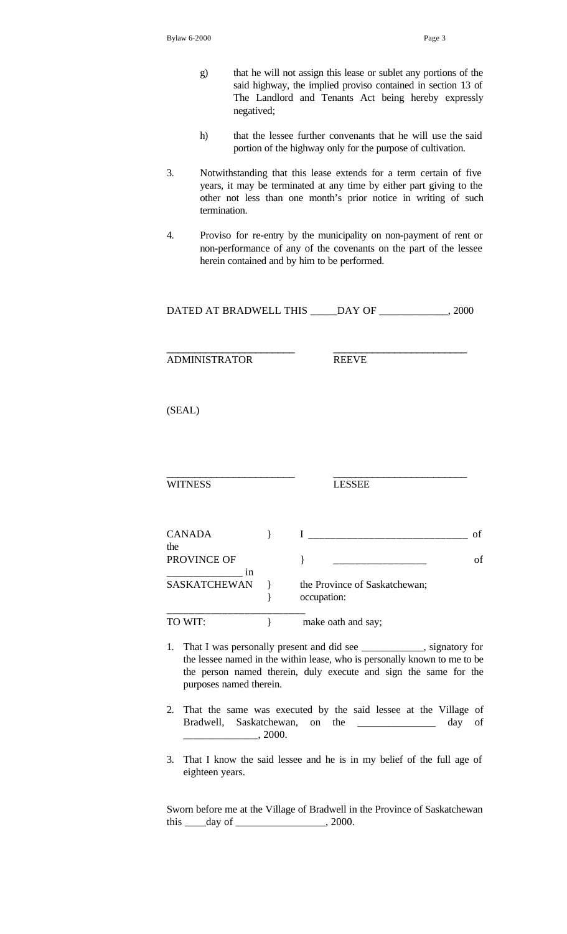- g) that he will not assign this lease or sublet any portions of the said highway, the implied proviso contained in section 13 of The Landlord and Tenants Act being hereby expressly negatived;
- h) that the lessee further convenants that he will use the said portion of the highway only for the purpose of cultivation.
- 3. Notwithstanding that this lease extends for a term certain of five years, it may be terminated at any time by either part giving to the other not less than one month's prior notice in writing of such termination.
- 4. Proviso for re-entry by the municipality on non-payment of rent or non-performance of any of the covenants on the part of the lessee herein contained and by him to be performed.

|                              |               | DATED AT BRADWELL THIS _____DAY OF ______________, 2000                                                                                                                                                                  |          |
|------------------------------|---------------|--------------------------------------------------------------------------------------------------------------------------------------------------------------------------------------------------------------------------|----------|
| ADMINISTRATOR                |               | <b>REEVE</b>                                                                                                                                                                                                             |          |
| (SEAL)                       |               |                                                                                                                                                                                                                          |          |
|                              |               |                                                                                                                                                                                                                          |          |
| <b>WITNESS</b>               |               | <b>LESSEE</b>                                                                                                                                                                                                            |          |
| CANADA<br>the<br>PROVINCE OF | $\mathcal{E}$ | $\}$                                                                                                                                                                                                                     | of<br>of |
| <b>SASKATCHEWAN</b>          | }<br>}        | the Province of Saskatchewan;<br>occupation:                                                                                                                                                                             |          |
| TO WIT:                      | $\mathcal{E}$ | make oath and say;                                                                                                                                                                                                       |          |
| purposes named therein.      |               | 1. That I was personally present and did see ___________, signatory for<br>the lessee named in the within lease, who is personally known to me to be<br>the person named therein, duly execute and sign the same for the |          |

- 2. That the same was executed by the said lessee at the Village of Bradwell, Saskatchewan, on the \_\_\_\_\_\_\_\_\_\_\_\_\_\_\_ day of  $\frac{1}{2000}$ .
- 3. That I know the said lessee and he is in my belief of the full age of eighteen years.

Sworn before me at the Village of Bradwell in the Province of Saskatchewan this \_\_\_\_day of \_\_\_\_\_\_\_\_\_\_\_\_\_\_\_\_, 2000.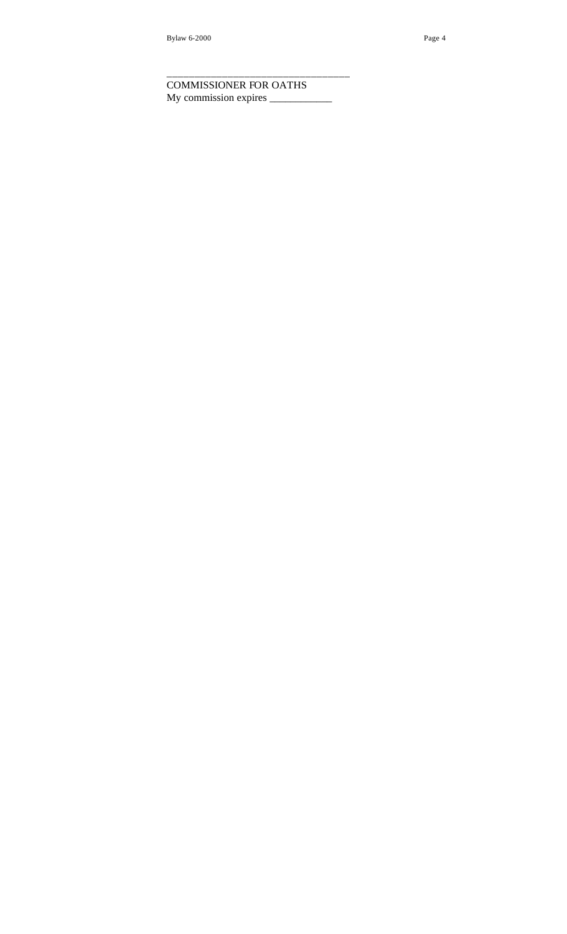COMMISSIONER FOR OATHS My commission expires \_\_\_\_\_\_\_\_\_\_\_\_

\_\_\_\_\_\_\_\_\_\_\_\_\_\_\_\_\_\_\_\_\_\_\_\_\_\_\_\_\_\_\_\_\_